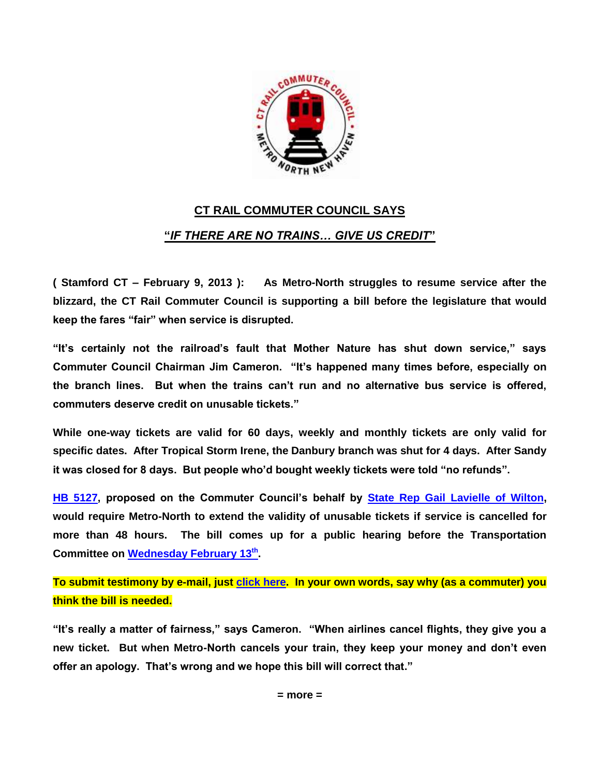

## **CT RAIL COMMUTER COUNCIL SAYS "***IF THERE ARE NO TRAINS… GIVE US CREDIT***"**

**( Stamford CT – February 9, 2013 ): As Metro-North struggles to resume service after the blizzard, the CT Rail Commuter Council is supporting a bill before the legislature that would keep the fares "fair" when service is disrupted.**

**"It's certainly not the railroad's fault that Mother Nature has shut down service," says Commuter Council Chairman Jim Cameron. "It's happened many times before, especially on the branch lines. But when the trains can't run and no alternative bus service is offered, commuters deserve credit on unusable tickets."**

**While one-way tickets are valid for 60 days, weekly and monthly tickets are only valid for specific dates. After Tropical Storm Irene, the Danbury branch was shut for 4 days. After Sandy it was closed for 8 days. But people who'd bought weekly tickets were told "no refunds".**

**[HB 5127,](http://www.cga.ct.gov/asp/cgabillstatus/cgabillstatus.asp?selBillType=Bill&bill_num=HB05127&which_year=2013) proposed on the Commuter Council's behalf by State [Rep Gail Lavielle of Wilton,](http://cthousegop.com/gail-lavielle/) would require Metro-North to extend the validity of unusable tickets if service is cancelled for more than 48 hours. The bill comes up for a public hearing before the Transportation Committee on [Wednesday February 13](http://www.cga.ct.gov/2013/TRAdata/pha/2013PHA00213-R001030TRA-PHA.htm)th .**

**To submit testimony by e-mail, just [click here.](mailto:Quinn.kess@cga.ct.gov;Gail.Lavielle@cga.ct.gov;CTRailCommuterCouncil@gmail.com?subject=Testimony%20in%20Support%20of%20HB5127) In your own words, say why (as a commuter) you think the bill is needed.**

**"It's really a matter of fairness," says Cameron. "When airlines cancel flights, they give you a new ticket. But when Metro-North cancels your train, they keep your money and don't even offer an apology. That's wrong and we hope this bill will correct that."**

**= more =**